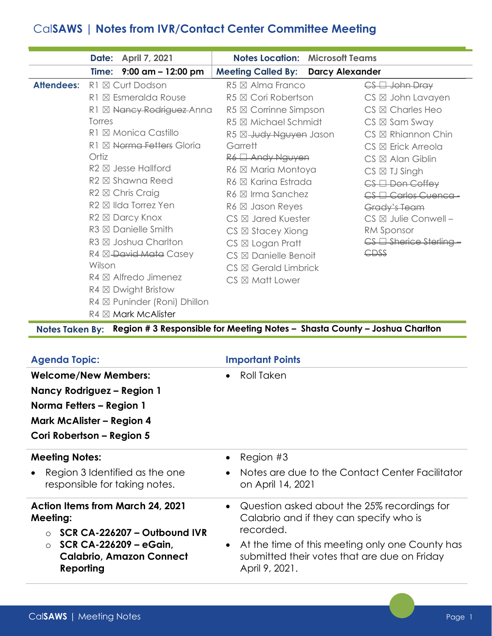## Cal**SAWS | Notes from IVR/Contact Center Committee Meeting**

|                   |        | Date: April 7, 2021              |                                           | <b>Notes Location: Microsoft Teams</b> |                                 |
|-------------------|--------|----------------------------------|-------------------------------------------|----------------------------------------|---------------------------------|
|                   |        | Time: $9:00$ am $-12:00$ pm      | <b>Meeting Called By: Darcy Alexander</b> |                                        |                                 |
| <b>Attendees:</b> |        | R1 ⊠ Curt Dodson                 | $R5 \boxtimes$ Alma Franco                |                                        | $CS \Box$ John Dray             |
|                   |        | R1 ⊠ Esmeralda Rouse             | R5 ⊠ Cori Robertson                       |                                        | $CS \boxtimes$ John Lavayen     |
|                   |        | R1 ⊠ Nancy Rodriguez-Anna        | $R5 \boxtimes$ Corrinne Simpson           |                                        | $CS \boxtimes$ Charles Heo      |
|                   | Torres |                                  | $R5 \boxtimes$ Michael Schmidt            |                                        | $CS \boxtimes$ Sam Sway         |
|                   |        | R1 ⊠ Monica Castillo             | R5 ⊠-Judy Nguyen Jason                    |                                        | $CS \boxtimes$ Rhiannon Chin    |
|                   |        | R1 ⊠ Norma Fetters Gloria        | Garrett                                   |                                        | $CS \boxtimes$ Erick Arreola    |
|                   | Ortiz  |                                  | R6 <sup>1</sup> Andy Nguyen               |                                        | $CS \boxtimes$ Alan Giblin      |
|                   |        | $R2 \boxtimes$ Jesse Hallford    | R6 ⊠ Maria Montoya                        |                                        | $CS \boxtimes IJ$ Singh         |
|                   |        | R <sub>2</sub> ⊠ Shawna Reed     | R6 ⊠ Karina Estrada                       |                                        | $CS \Box$ Don Coffey            |
|                   |        | $R2 \boxtimes$ Chris Craig       | $R6 \boxtimes$ Irma Sanchez               |                                        | CS El Carlos Cuenca -           |
|                   |        | R <sub>2</sub> ⊠ Ilda Torrez Yen | $R6 \boxtimes$ Jason Reyes                |                                        | Grady's Team                    |
|                   |        | R <sub>2</sub> ⊠ Darcy Knox      | $CS \boxtimes$ Jared Kuester              |                                        | $CS \boxtimes$ Julie Conwell -  |
|                   |        | $R3 \boxtimes$ Danielle Smith    | $CS \boxtimes$ Stacey Xiong               |                                        | RM Sponsor                      |
|                   |        | R3 ⊠ Joshua Charlton             | $CS \boxtimes Logan Pratt$                |                                        | $CS \square$ Sherice Sterling - |
|                   |        | R4 ⊠ <del>David Mata</del> Casey | $CS \boxtimes$ Danielle Benoit            |                                        | CDSS                            |
|                   | Wilson |                                  | $CS \boxtimes$ Gerald Limbrick            |                                        |                                 |
|                   |        | $R4 \boxtimes$ Alfredo Jimenez   | $CS \boxtimes$ Matt Lower                 |                                        |                                 |
|                   |        | $R4 \boxtimes$ Dwight Bristow    |                                           |                                        |                                 |
|                   |        | R4 ⊠ Puninder (Roni) Dhillon     |                                           |                                        |                                 |
|                   |        | $R4 \boxtimes$ Mark McAlister    |                                           |                                        |                                 |

**Notes Taken By: Region # 3 Responsible for Meeting Notes – Shasta County – Joshua Charlton**

| <b>Agenda Topic:</b>                                                                                                                  | <b>Important Points</b>                                                                                                                                |  |  |
|---------------------------------------------------------------------------------------------------------------------------------------|--------------------------------------------------------------------------------------------------------------------------------------------------------|--|--|
| <b>Welcome/New Members:</b>                                                                                                           | Roll Taken                                                                                                                                             |  |  |
| Nancy Rodriguez – Region 1                                                                                                            |                                                                                                                                                        |  |  |
| Norma Fetters – Region 1                                                                                                              |                                                                                                                                                        |  |  |
| <b>Mark McAlister - Region 4</b>                                                                                                      |                                                                                                                                                        |  |  |
| Cori Robertson – Region 5                                                                                                             |                                                                                                                                                        |  |  |
| <b>Meeting Notes:</b>                                                                                                                 | Region #3                                                                                                                                              |  |  |
| Region 3 Identified as the one<br>responsible for taking notes.                                                                       | Notes are due to the Contact Center Facilitator<br>on April 14, 2021                                                                                   |  |  |
| <b>Action Items from March 24, 2021</b><br>Meeting:<br>SCR CA-226207 - Outbound IVR<br>$\bigcap$<br>SCR CA-226209 - eGain,<br>$\circ$ | Question asked about the 25% recordings for<br>Calabrio and if they can specify who is<br>recorded.<br>At the time of this meeting only one County has |  |  |
| <b>Calabrio, Amazon Connect</b><br>Reporting                                                                                          | submitted their votes that are due on Friday<br>April 9, 2021.                                                                                         |  |  |